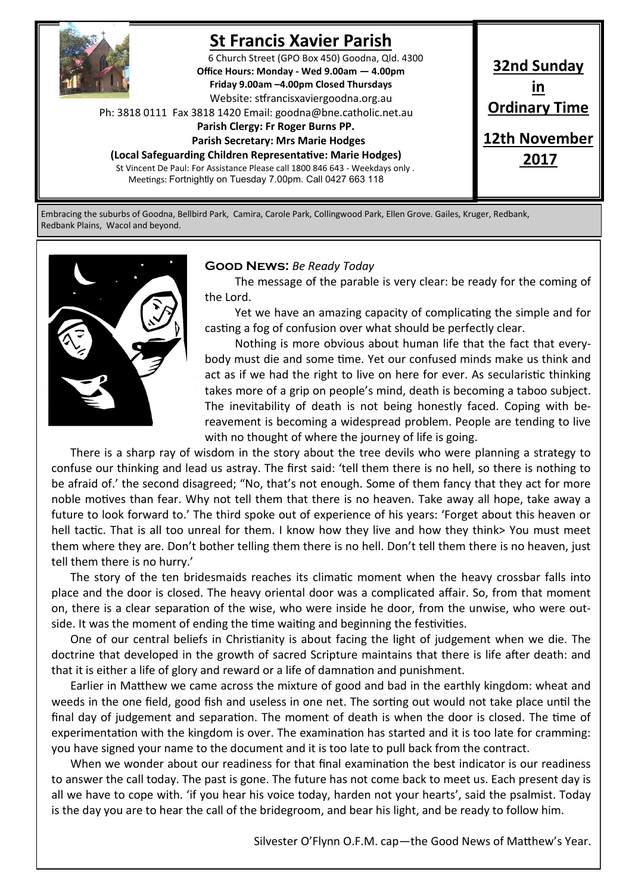

# **St Francis Xavier Parish**

6 Church Street (GPO Box 450) Goodna, Qld. 4300 **Office Hours: Monday - Wed 9.00am — 4.00pm Friday 9.00am –4.00pm Closed Thursdays**  Website: stfrancisxaviergoodna.org.au

Ph: 3818 0111 Fax 3818 1420 Email: goodna@bne.catholic.net.au

 **Parish Clergy: Fr Roger Burns PP.** 

 **Parish Secretary: Mrs Marie Hodges (Local Safeguarding Children Representative: Marie Hodges)**

St Vincent De Paul: For Assistance Please call 1800 846 643 - Weekdays only . Meetings: Fortnightly on Tuesday 7.00pm. Call 0427 663 118

**32nd Sunday in Ordinary Time 12th November 2017**

Embracing the suburbs of Goodna, Bellbird Park, Camira, Carole Park, Collingwood Park, Ellen Grove. Gailes, Kruger, Redbank, Redbank Plains, Wacol and beyond.



#### **Good News:** *Be Ready Today*

The message of the parable is very clear: be ready for the coming of the Lord.

Yet we have an amazing capacity of complicating the simple and for casting a fog of confusion over what should be perfectly clear.

Nothing is more obvious about human life that the fact that everybody must die and some time. Yet our confused minds make us think and act as if we had the right to live on here for ever. As secularistic thinking takes more of a grip on people's mind, death is becoming a taboo subject. The inevitability of death is not being honestly faced. Coping with bereavement is becoming a widespread problem. People are tending to live with no thought of where the journey of life is going.

There is a sharp ray of wisdom in the story about the tree devils who were planning a strategy to confuse our thinking and lead us astray. The first said: 'tell them there is no hell, so there is nothing to be afraid of.' the second disagreed; "No, that's not enough. Some of them fancy that they act for more noble motives than fear. Why not tell them that there is no heaven. Take away all hope, take away a future to look forward to.' The third spoke out of experience of his years: 'Forget about this heaven or hell tactic. That is all too unreal for them. I know how they live and how they think> You must meet them where they are. Don't bother telling them there is no hell. Don't tell them there is no heaven, just tell them there is no hurry.'

The story of the ten bridesmaids reaches its climatic moment when the heavy crossbar falls into place and the door is closed. The heavy oriental door was a complicated affair. So, from that moment on, there is a clear separation of the wise, who were inside he door, from the unwise, who were outside. It was the moment of ending the time waiting and beginning the festivities.

One of our central beliefs in Christianity is about facing the light of judgement when we die. The doctrine that developed in the growth of sacred Scripture maintains that there is life after death: and that it is either a life of glory and reward or a life of damnation and punishment.

Earlier in Matthew we came across the mixture of good and bad in the earthly kingdom: wheat and weeds in the one field, good fish and useless in one net. The sorting out would not take place until the final day of judgement and separation. The moment of death is when the door is closed. The time of experimentation with the kingdom is over. The examination has started and it is too late for cramming: you have signed your name to the document and it is too late to pull back from the contract.

When we wonder about our readiness for that final examination the best indicator is our readiness to answer the call today. The past is gone. The future has not come back to meet us. Each present day is all we have to cope with. 'if you hear his voice today, harden not your hearts', said the psalmist. Today is the day you are to hear the call of the bridegroom, and bear his light, and be ready to follow him.

Silvester O'Flynn O.F.M. cap—the Good News of Matthew's Year.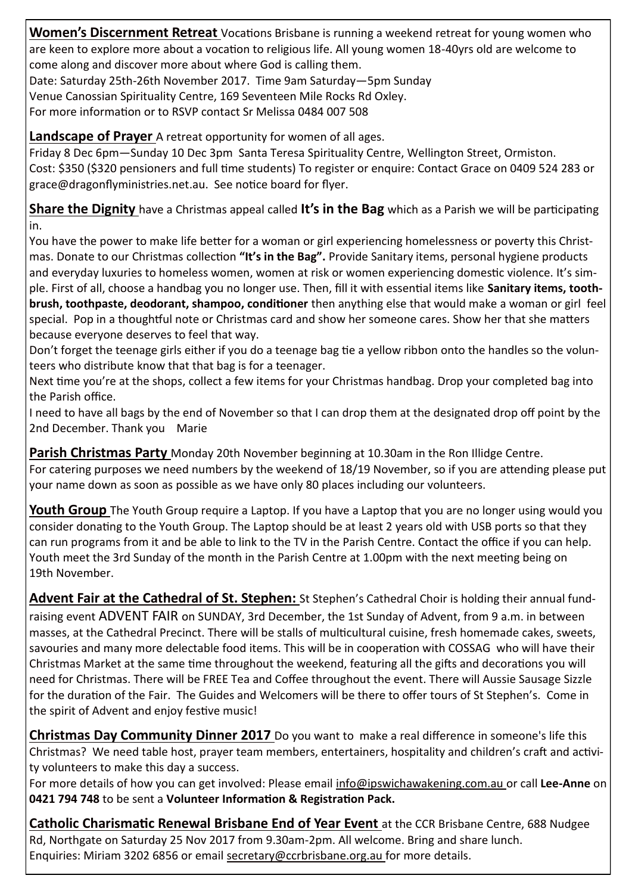**Women's Discernment Retreat** Vocations Brisbane is running a weekend retreat for young women who are keen to explore more about a vocation to religious life. All young women 18-40yrs old are welcome to come along and discover more about where God is calling them.

Date: Saturday 25th-26th November 2017. Time 9am Saturday—5pm Sunday

Venue Canossian Spirituality Centre, 169 Seventeen Mile Rocks Rd Oxley.

For more information or to RSVP contact Sr Melissa 0484 007 508

**Landscape of Prayer** A retreat opportunity for women of all ages.

Friday 8 Dec 6pm—Sunday 10 Dec 3pm Santa Teresa Spirituality Centre, Wellington Street, Ormiston. Cost: \$350 (\$320 pensioners and full time students) To register or enquire: Contact Grace on 0409 524 283 or grace@dragonflyministries.net.au. See notice board for flyer.

**Share the Dignity** have a Christmas appeal called **It's in the Bag** which as a Parish we will be participating in.

You have the power to make life better for a woman or girl experiencing homelessness or poverty this Christmas. Donate to our Christmas collection **"It's in the Bag".** Provide Sanitary items, personal hygiene products and everyday luxuries to homeless women, women at risk or women experiencing domestic violence. It's simple. First of all, choose a handbag you no longer use. Then, fill it with essential items like **Sanitary items, toothbrush, toothpaste, deodorant, shampoo, conditioner** then anything else that would make a woman or girl feel special. Pop in a thoughtful note or Christmas card and show her someone cares. Show her that she matters because everyone deserves to feel that way.

Don't forget the teenage girls either if you do a teenage bag tie a yellow ribbon onto the handles so the volunteers who distribute know that that bag is for a teenager.

Next time you're at the shops, collect a few items for your Christmas handbag. Drop your completed bag into the Parish office.

I need to have all bags by the end of November so that I can drop them at the designated drop off point by the 2nd December. Thank you Marie

**Parish Christmas Party** Monday 20th November beginning at 10.30am in the Ron Illidge Centre. For catering purposes we need numbers by the weekend of 18/19 November, so if you are attending please put your name down as soon as possible as we have only 80 places including our volunteers.

**Youth Group** The Youth Group require a Laptop. If you have a Laptop that you are no longer using would you consider donating to the Youth Group. The Laptop should be at least 2 years old with USB ports so that they can run programs from it and be able to link to the TV in the Parish Centre. Contact the office if you can help. Youth meet the 3rd Sunday of the month in the Parish Centre at 1.00pm with the next meeting being on 19th November.

**Advent Fair at the Cathedral of St. Stephen:** St Stephen's Cathedral Choir is holding their annual fundraising event ADVENT FAIR on SUNDAY, 3rd December, the 1st Sunday of Advent, from 9 a.m. in between masses, at the Cathedral Precinct. There will be stalls of multicultural cuisine, fresh homemade cakes, sweets, savouries and many more delectable food items. This will be in cooperation with COSSAG who will have their Christmas Market at the same time throughout the weekend, featuring all the gifts and decorations you will need for Christmas. There will be FREE Tea and Coffee throughout the event. There will Aussie Sausage Sizzle for the duration of the Fair. The Guides and Welcomers will be there to offer tours of St Stephen's. Come in the spirit of Advent and enjoy festive music!

**Christmas Day Community Dinner 2017** Do you want to make a real difference in someone's life this Christmas? We need table host, prayer team members, entertainers, hospitality and children's craft and activity volunteers to make this day a success.

For more details of how you can get involved: Please email info@ipswichawakening.com.au or call **Lee-Anne** on **0421 794 748** to be sent a **Volunteer Information & Registration Pack.**

**Catholic Charismatic Renewal Brisbane End of Year Event** at the CCR Brisbane Centre, 688 Nudgee Rd, Northgate on Saturday 25 Nov 2017 from 9.30am-2pm. All welcome. Bring and share lunch. Enquiries: Miriam 3202 6856 or email secretary@ccrbrisbane.org.au for more details.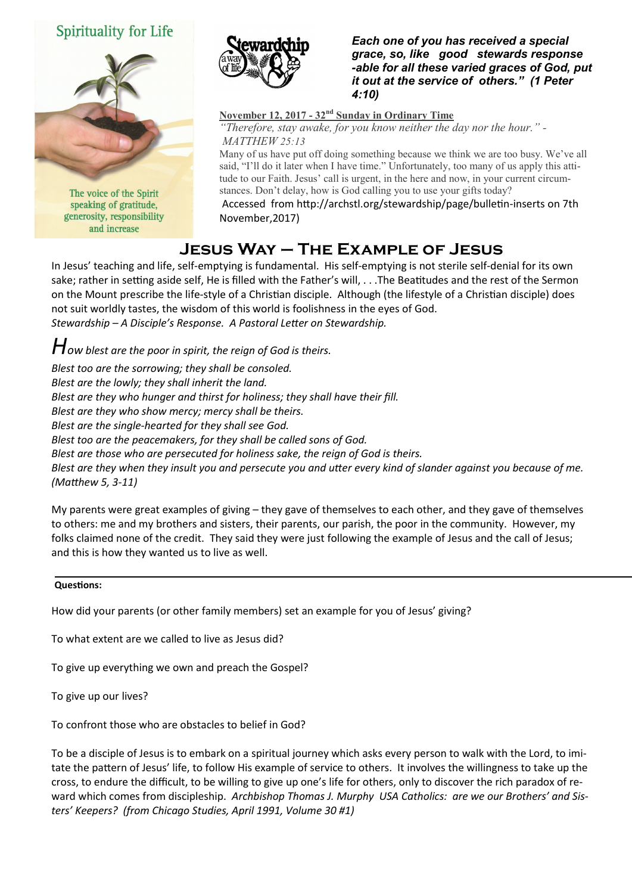## Spirituality for Life



The voice of the Spirit speaking of gratitude, generosity, responsibility and increase



*Each one of you has received a special grace, so, like good stewards response -able for all these varied graces of God, put it out at the service of others." (1 Peter 4:10)* 

**November 12, 2017 - 32nd Sunday in Ordinary Time** *"Therefore, stay awake, for you know neither the day nor the hour." - MATTHEW 25:13*

Many of us have put off doing something because we think we are too busy. We've all said, "I'll do it later when I have time." Unfortunately, too many of us apply this attitude to our Faith. Jesus' call is urgent, in the here and now, in your current circumstances. Don't delay, how is God calling you to use your gifts today?

Accessed from http://archstl.org/stewardship/page/bulletin-inserts on 7th November,2017)

## **Jesus Way – The Example of Jesus**

In Jesus' teaching and life, self-emptying is fundamental. His self-emptying is not sterile self-denial for its own sake; rather in setting aside self, He is filled with the Father's will, . . .The Beatitudes and the rest of the Sermon on the Mount prescribe the life-style of a Christian disciple. Although (the lifestyle of a Christian disciple) does not suit worldly tastes, the wisdom of this world is foolishness in the eyes of God. *Stewardship – A Disciple's Response. A Pastoral Letter on Stewardship.*

*How blest are the poor in spirit, the reign of God is theirs. Blest too are the sorrowing; they shall be consoled. Blest are the lowly; they shall inherit the land. Blest are they who hunger and thirst for holiness; they shall have their fill. Blest are they who show mercy; mercy shall be theirs. Blest are the single-hearted for they shall see God. Blest too are the peacemakers, for they shall be called sons of God. Blest are those who are persecuted for holiness sake, the reign of God is theirs. Blest are they when they insult you and persecute you and utter every kind of slander against you because of me. (Matthew 5, 3-11)*

My parents were great examples of giving – they gave of themselves to each other, and they gave of themselves to others: me and my brothers and sisters, their parents, our parish, the poor in the community. However, my folks claimed none of the credit. They said they were just following the example of Jesus and the call of Jesus; and this is how they wanted us to live as well.

### **Questions:**

How did your parents (or other family members) set an example for you of Jesus' giving?

To what extent are we called to live as Jesus did?

To give up everything we own and preach the Gospel?

To give up our lives?

To confront those who are obstacles to belief in God?

To be a disciple of Jesus is to embark on a spiritual journey which asks every person to walk with the Lord, to imitate the pattern of Jesus' life, to follow His example of service to others. It involves the willingness to take up the cross, to endure the difficult, to be willing to give up one's life for others, only to discover the rich paradox of reward which comes from discipleship. *Archbishop Thomas J. Murphy USA Catholics: are we our Brothers' and Sisters' Keepers? (from Chicago Studies, April 1991, Volume 30 #1)*